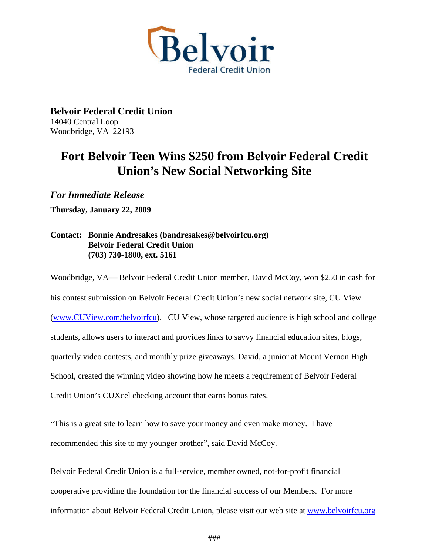

**Belvoir Federal Credit Union**  14040 Central Loop Woodbridge, VA 22193

## **Fort Belvoir Teen Wins \$250 from Belvoir Federal Credit Union's New Social Networking Site**

*For Immediate Release* 

**Thursday, January 22, 2009** 

## **Contact: Bonnie Andresakes (bandresakes@belvoirfcu.org) Belvoir Federal Credit Union (703) 730-1800, ext. 5161**

Woodbridge, VA— Belvoir Federal Credit Union member, David McCoy, won \$250 in cash for his contest submission on Belvoir Federal Credit Union's new social network site, CU View ([www.CUView.com/belvoirfcu\)](http://www.cuview.com/belvoirfcu). CU View, whose targeted audience is high school and college students, allows users to interact and provides links to savvy financial education sites, blogs, quarterly video contests, and monthly prize giveaways. David, a junior at Mount Vernon High School, created the winning video showing how he meets a requirement of Belvoir Federal Credit Union's CUXcel checking account that earns bonus rates.

"This is a great site to learn how to save your money and even make money. I have recommended this site to my younger brother", said David McCoy.

Belvoir Federal Credit Union is a full-service, member owned, not-for-profit financial cooperative providing the foundation for the financial success of our Members. For more information about Belvoir Federal Credit Union, please visit our web site at [www.belvoirfcu.org](http://www.belvoirfcu.org/)